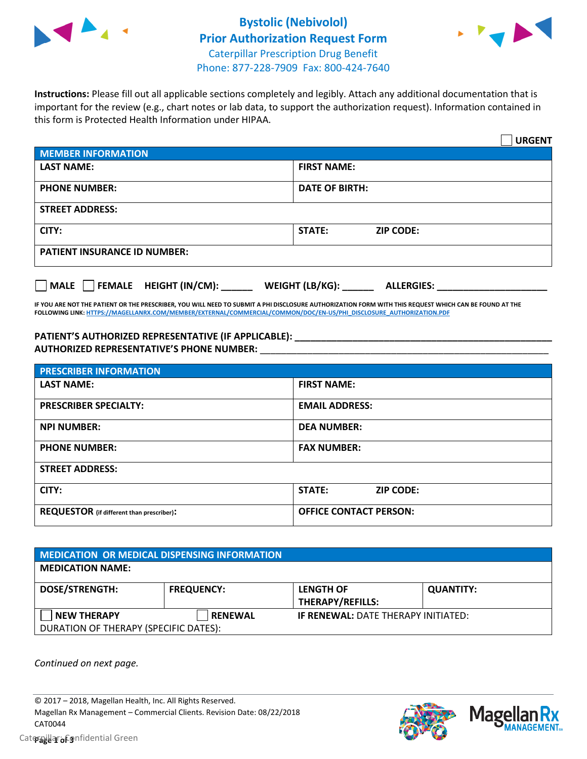



**Instructions:** Please fill out all applicable sections completely and legibly. Attach any additional documentation that is important for the review (e.g., chart notes or lab data, to support the authorization request). Information contained in this form is Protected Health Information under HIPAA.

|                                                | <b>URGENT</b>                        |  |
|------------------------------------------------|--------------------------------------|--|
| <b>MEMBER INFORMATION</b>                      |                                      |  |
| <b>LAST NAME:</b>                              | <b>FIRST NAME:</b>                   |  |
| <b>PHONE NUMBER:</b>                           | <b>DATE OF BIRTH:</b>                |  |
| <b>STREET ADDRESS:</b>                         |                                      |  |
| CITY:                                          | <b>STATE:</b><br><b>ZIP CODE:</b>    |  |
| <b>PATIENT INSURANCE ID NUMBER:</b>            |                                      |  |
| $\Box$ FEMALE HEIGHT (IN/CM): _<br><b>MALE</b> | WEIGHT (LB/KG):<br><b>ALLERGIES:</b> |  |

**IF YOU ARE NOT THE PATIENT OR THE PRESCRIBER, YOU WILL NEED TO SUBMIT A PHI DISCLOSURE AUTHORIZATION FORM WITH THIS REQUEST WHICH CAN BE FOUND AT THE FOLLOWING LINK[: HTTPS://MAGELLANRX.COM/MEMBER/EXTERNAL/COMMERCIAL/COMMON/DOC/EN-US/PHI\\_DISCLOSURE\\_AUTHORIZATION.PDF](https://magellanrx.com/member/external/commercial/common/doc/en-us/PHI_Disclosure_Authorization.pdf)**

**PATIENT'S AUTHORIZED REPRESENTATIVE (IF APPLICABLE): \_\_\_\_\_\_\_\_\_\_\_\_\_\_\_\_\_\_\_\_\_\_\_\_\_\_\_\_\_\_\_\_\_\_\_\_\_\_\_\_\_\_\_\_\_\_\_\_\_ AUTHORIZED REPRESENTATIVE'S PHONE NUMBER:** \_\_\_\_\_\_\_\_\_\_\_\_\_\_\_\_\_\_\_\_\_\_\_\_\_\_\_\_\_\_\_\_\_\_\_\_\_\_\_\_\_\_\_\_\_\_\_\_\_\_\_\_\_\_\_

| <b>PRESCRIBER INFORMATION</b>             |                               |  |  |  |
|-------------------------------------------|-------------------------------|--|--|--|
| <b>LAST NAME:</b>                         | <b>FIRST NAME:</b>            |  |  |  |
| <b>PRESCRIBER SPECIALTY:</b>              | <b>EMAIL ADDRESS:</b>         |  |  |  |
| <b>NPI NUMBER:</b>                        | <b>DEA NUMBER:</b>            |  |  |  |
| <b>PHONE NUMBER:</b>                      | <b>FAX NUMBER:</b>            |  |  |  |
| <b>STREET ADDRESS:</b>                    |                               |  |  |  |
| CITY:                                     | STATE:<br><b>ZIP CODE:</b>    |  |  |  |
| REQUESTOR (if different than prescriber): | <b>OFFICE CONTACT PERSON:</b> |  |  |  |

| <b>MEDICATION OR MEDICAL DISPENSING INFORMATION</b> |                   |                                            |                  |  |  |
|-----------------------------------------------------|-------------------|--------------------------------------------|------------------|--|--|
| <b>MEDICATION NAME:</b>                             |                   |                                            |                  |  |  |
| <b>DOSE/STRENGTH:</b>                               | <b>FREQUENCY:</b> | <b>LENGTH OF</b>                           | <b>QUANTITY:</b> |  |  |
|                                                     |                   | <b>THERAPY/REFILLS:</b>                    |                  |  |  |
| <b>NEW THERAPY</b>                                  | <b>RENEWAL</b>    | <b>IF RENEWAL: DATE THERAPY INITIATED:</b> |                  |  |  |
| DURATION OF THERAPY (SPECIFIC DATES):               |                   |                                            |                  |  |  |

*Continued on next page.*

© 2017 – 2018, Magellan Health, Inc. All Rights Reserved. Magellan Rx Management – Commercial Clients. Revision Date: 08/22/2018 CAT0044



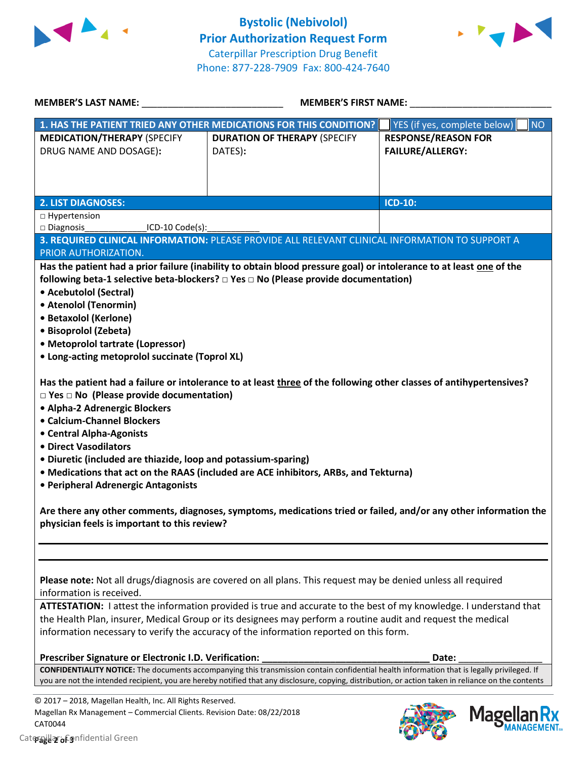



| <b>MEMBER'S LAST NAME:</b>                                                                                                                                                                                                                                                                                                                                                                                                                                                                                                         | <b>MEMBER'S FIRST NAME:</b>                                                                                                                                                                                                                                                                                                     |                                                       |
|------------------------------------------------------------------------------------------------------------------------------------------------------------------------------------------------------------------------------------------------------------------------------------------------------------------------------------------------------------------------------------------------------------------------------------------------------------------------------------------------------------------------------------|---------------------------------------------------------------------------------------------------------------------------------------------------------------------------------------------------------------------------------------------------------------------------------------------------------------------------------|-------------------------------------------------------|
|                                                                                                                                                                                                                                                                                                                                                                                                                                                                                                                                    | 1. HAS THE PATIENT TRIED ANY OTHER MEDICATIONS FOR THIS CONDITION?                                                                                                                                                                                                                                                              | YES (if yes, complete below)<br><b>NO</b>             |
| <b>MEDICATION/THERAPY (SPECIFY</b><br>DRUG NAME AND DOSAGE):                                                                                                                                                                                                                                                                                                                                                                                                                                                                       | <b>DURATION OF THERAPY (SPECIFY</b><br>DATES):                                                                                                                                                                                                                                                                                  | <b>RESPONSE/REASON FOR</b><br><b>FAILURE/ALLERGY:</b> |
| <b>2. LIST DIAGNOSES:</b>                                                                                                                                                                                                                                                                                                                                                                                                                                                                                                          |                                                                                                                                                                                                                                                                                                                                 | <b>ICD-10:</b>                                        |
| □ Hypertension                                                                                                                                                                                                                                                                                                                                                                                                                                                                                                                     |                                                                                                                                                                                                                                                                                                                                 |                                                       |
| □ Diagnosis<br>ICD-10 Code(s):                                                                                                                                                                                                                                                                                                                                                                                                                                                                                                     |                                                                                                                                                                                                                                                                                                                                 |                                                       |
|                                                                                                                                                                                                                                                                                                                                                                                                                                                                                                                                    | 3. REQUIRED CLINICAL INFORMATION: PLEASE PROVIDE ALL RELEVANT CLINICAL INFORMATION TO SUPPORT A                                                                                                                                                                                                                                 |                                                       |
| PRIOR AUTHORIZATION.                                                                                                                                                                                                                                                                                                                                                                                                                                                                                                               |                                                                                                                                                                                                                                                                                                                                 |                                                       |
| • Acebutolol (Sectral)<br>• Atenolol (Tenormin)<br>• Betaxolol (Kerlone)<br>· Bisoprolol (Zebeta)<br>• Metoprolol tartrate (Lopressor)<br>• Long-acting metoprolol succinate (Toprol XL)<br>$\square$ Yes $\square$ No (Please provide documentation)<br>• Alpha-2 Adrenergic Blockers<br>• Calcium-Channel Blockers<br>• Central Alpha-Agonists<br>• Direct Vasodilators<br>• Diuretic (included are thiazide, loop and potassium-sparing)<br>• Peripheral Adrenergic Antagonists<br>physician feels is important to this review? | Has the patient had a failure or intolerance to at least three of the following other classes of antihypertensives?<br>. Medications that act on the RAAS (included are ACE inhibitors, ARBs, and Tekturna)<br>Are there any other comments, diagnoses, symptoms, medications tried or failed, and/or any other information the |                                                       |
| information is received.                                                                                                                                                                                                                                                                                                                                                                                                                                                                                                           | Please note: Not all drugs/diagnosis are covered on all plans. This request may be denied unless all required                                                                                                                                                                                                                   |                                                       |
|                                                                                                                                                                                                                                                                                                                                                                                                                                                                                                                                    | ATTESTATION: I attest the information provided is true and accurate to the best of my knowledge. I understand that<br>the Health Plan, insurer, Medical Group or its designees may perform a routine audit and request the medical<br>information necessary to verify the accuracy of the information reported on this form.    |                                                       |
| Prescriber Signature or Electronic I.D. Verification:                                                                                                                                                                                                                                                                                                                                                                                                                                                                              |                                                                                                                                                                                                                                                                                                                                 | Date:                                                 |
|                                                                                                                                                                                                                                                                                                                                                                                                                                                                                                                                    | <b>CONFIDENTIALITY NOTICE:</b> The documents accompanying this transmission contain confidential health information that is legally privileged. If<br>you are not the intended recipient, you are hereby notified that any disclosure, copying, distribution, or action taken in reliance on the contents                       |                                                       |
| © 2017 - 2018, Magellan Health, Inc. All Rights Reserved.<br>Magellan Rx Management - Commercial Clients. Revision Date: 08/22/2018                                                                                                                                                                                                                                                                                                                                                                                                |                                                                                                                                                                                                                                                                                                                                 | Magollan Ry                                           |

CAT0044